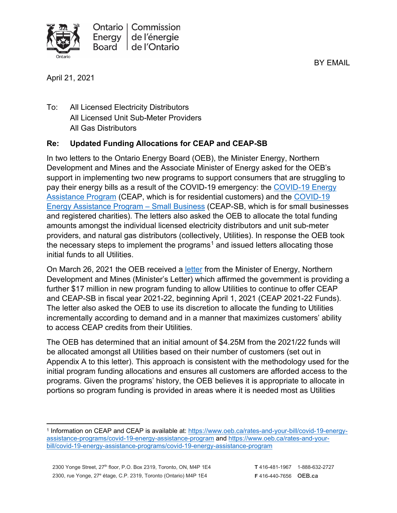BY EMAIL



April 21, 2021

To: All Licensed Electricity Distributors All Licensed Unit Sub-Meter Providers All Gas Distributors

# **Re: Updated Funding Allocations for CEAP and CEAP-SB**

In two letters to the Ontario Energy Board (OEB), the Minister Energy, Northern Development and Mines and the Associate Minister of Energy asked for the OEB's support in implementing two new programs to support consumers that are struggling to pay their energy bills as a result of the COVID-19 emergency: the [COVID-19 Energy](https://www.oeb.ca/sites/default/files/letter-from-the-minister-to-OEB-CEAP-20200601.pdf)  [Assistance Program](https://www.oeb.ca/sites/default/files/letter-from-the-minister-to-OEB-CEAP-20200601.pdf) (CEAP, which is for residential customers) and the [COVID-19](https://www.oeb.ca/sites/default/files/letter-from-the-minister-to-OEB-CEAP-SB-20200804.pdf)  [Energy Assistance Program – Small Business](https://www.oeb.ca/sites/default/files/letter-from-the-minister-to-OEB-CEAP-SB-20200804.pdf) (CEAP-SB, which is for small businesses and registered charities). The letters also asked the OEB to allocate the total funding amounts amongst the individual licensed electricity distributors and unit sub-meter providers, and natural gas distributors (collectively, Utilities). In response the OEB took the necessary steps to implement the programs<sup>[1](#page-0-0)</sup> and issued letters allocating those initial funds to all Utilities.

On March 26, 2021 the OEB received a [letter](https://www.oeb.ca/sites/default/files/Letter-from-the-Minister-ENDM-20210326.pdf) from the Minister of Energy, Northern Development and Mines (Minister's Letter) which affirmed the government is providing a further \$17 million in new program funding to allow Utilities to continue to offer CEAP and CEAP-SB in fiscal year 2021-22, beginning April 1, 2021 (CEAP 2021-22 Funds). The letter also asked the OEB to use its discretion to allocate the funding to Utilities incrementally according to demand and in a manner that maximizes customers' ability to access CEAP credits from their Utilities.

The OEB has determined that an initial amount of \$4.25M from the 2021/22 funds will be allocated amongst all Utilities based on their number of customers (set out in Appendix A to this letter). This approach is consistent with the methodology used for the initial program funding allocations and ensures all customers are afforded access to the programs. Given the programs' history, the OEB believes it is appropriate to allocate in portions so program funding is provided in areas where it is needed most as Utilities

<span id="page-0-0"></span><sup>1</sup> Information on CEAP and CEAP is available at: [https://www.oeb.ca/rates-and-your-bill/covid-19-energy](https://www.oeb.ca/rates-and-your-bill/covid-19-energy-assistance-programs/covid-19-energy-assistance-program)[assistance-programs/covid-19-energy-assistance-program](https://www.oeb.ca/rates-and-your-bill/covid-19-energy-assistance-programs/covid-19-energy-assistance-program) and [https://www.oeb.ca/rates-and-your](https://www.oeb.ca/rates-and-your-bill/covid-19-energy-assistance-programs/covid-19-energy-assistance-program)[bill/covid-19-energy-assistance-programs/covid-19-energy-assistance-program](https://www.oeb.ca/rates-and-your-bill/covid-19-energy-assistance-programs/covid-19-energy-assistance-program)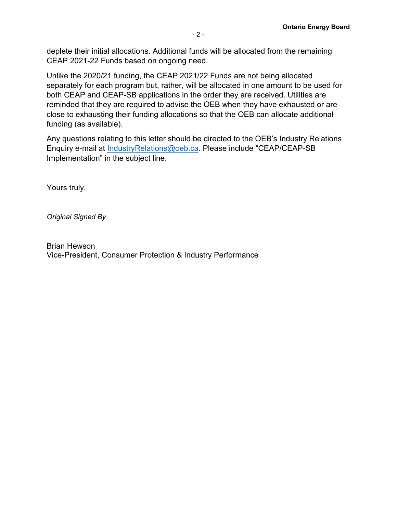deplete their initial allocations. Additional funds will be allocated from the remaining CEAP 2021-22 Funds based on ongoing need.

Unlike the 2020/21 funding, the CEAP 2021/22 Funds are not being allocated separately for each program but, rather, will be allocated in one amount to be used for both CEAP and CEAP-SB applications in the order they are received. Utilities are reminded that they are required to advise the OEB when they have exhausted or are close to exhausting their funding allocations so that the OEB can allocate additional funding (as available).

Any questions relating to this letter should be directed to the OEB's Industry Relations Enquiry e-mail at [IndustryRelations@oeb.ca.](mailto:IndustryRelations@oeb.ca) Please include "CEAP/CEAP-SB Implementation" in the subject line.

Yours truly,

*Original Signed By*

Brian Hewson Vice-President, Consumer Protection & Industry Performance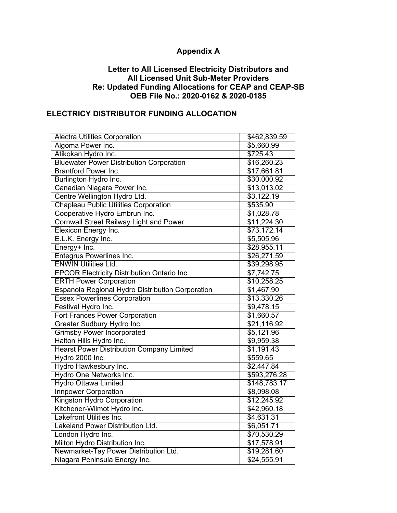# **Appendix A**

#### **Letter to All Licensed Electricity Distributors and All Licensed Unit Sub-Meter Providers Re: Updated Funding Allocations for CEAP and CEAP-SB OEB File No.: 2020-0162 & 2020-0185**

#### **ELECTRICY DISTRIBUTOR FUNDING ALLOCATION**

| <b>Alectra Utilities Corporation</b>               | \$462,839.59 |
|----------------------------------------------------|--------------|
| Algoma Power Inc.                                  | \$5,660.99   |
| Atikokan Hydro Inc.                                | \$725.43     |
| <b>Bluewater Power Distribution Corporation</b>    | \$16,260.23  |
| <b>Brantford Power Inc.</b>                        | \$17,661.81  |
| Burlington Hydro Inc.                              | \$30,000.92  |
| Canadian Niagara Power Inc.                        | \$13,013.02  |
| Centre Wellington Hydro Ltd.                       | \$3,122.19   |
| <b>Chapleau Public Utilities Corporation</b>       | \$535.90     |
| Cooperative Hydro Embrun Inc.                      | \$1,028.78   |
| <b>Cornwall Street Railway Light and Power</b>     | \$11,224.30  |
| Elexicon Energy Inc.                               | \$73,172.14  |
| E.L.K. Energy Inc.                                 | \$5,505.96   |
| Energy+ Inc.                                       | \$28,955.11  |
| <b>Entegrus Powerlines Inc.</b>                    | \$26,271.59  |
| <b>ENWIN Utilities Ltd.</b>                        | \$39,298.95  |
| <b>EPCOR Electricity Distribution Ontario Inc.</b> | \$7,742.75   |
| <b>ERTH Power Corporation</b>                      | \$10,258.25  |
| Espanola Regional Hydro Distribution Corporation   | \$1,467.90   |
| <b>Essex Powerlines Corporation</b>                | \$13,330.26  |
| Festival Hydro Inc.                                | \$9,478.15   |
| <b>Fort Frances Power Corporation</b>              | \$1,660.57   |
| <b>Greater Sudbury Hydro Inc.</b>                  | \$21,116.92  |
| <b>Grimsby Power Incorporated</b>                  | \$5,121.96   |
| Halton Hills Hydro Inc.                            | \$9,959.38   |
| <b>Hearst Power Distribution Company Limited</b>   | \$1,191.43   |
| Hydro 2000 Inc.                                    | \$559.65     |
| Hydro Hawkesbury Inc.                              | \$2,447.84   |
| <b>Hydro One Networks Inc.</b>                     | \$593,276.28 |
| <b>Hydro Ottawa Limited</b>                        | \$148,783.17 |
| <b>Innpower Corporation</b>                        | \$8,098.08   |
| <b>Kingston Hydro Corporation</b>                  | \$12,245.92  |
| Kitchener-Wilmot Hydro Inc.                        | \$42,960.18  |
| <b>Lakefront Utilities Inc.</b>                    | \$4,631.31   |
| Lakeland Power Distribution Ltd.                   | \$6,051.71   |
| London Hydro Inc.                                  | \$70,530.29  |
| Milton Hydro Distribution Inc.                     | \$17,578.91  |
| Newmarket-Tay Power Distribution Ltd.              | \$19,281.60  |
| Niagara Peninsula Energy Inc.                      | \$24,555.91  |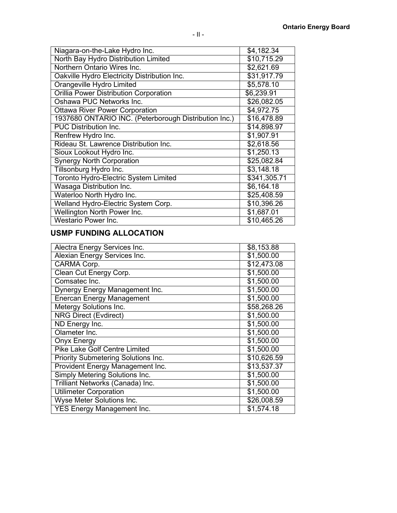| Niagara-on-the-Lake Hydro Inc.                        | $\overline{34}$ , 182.34 |
|-------------------------------------------------------|--------------------------|
| North Bay Hydro Distribution Limited                  | \$10,715.29              |
| Northern Ontario Wires Inc.                           | \$2,621.69               |
| Oakville Hydro Electricity Distribution Inc.          | \$31,917.79              |
| <b>Orangeville Hydro Limited</b>                      | \$5,578.10               |
| <b>Orillia Power Distribution Corporation</b>         | \$6,239.91               |
| Oshawa PUC Networks Inc.                              | \$26,082.05              |
| <b>Ottawa River Power Corporation</b>                 | \$4,972.75               |
| 1937680 ONTARIO INC. (Peterborough Distribution Inc.) | \$16,478.89              |
| <b>PUC Distribution Inc.</b>                          | \$14,898.97              |
| Renfrew Hydro Inc.                                    | \$1,907.91               |
| Rideau St. Lawrence Distribution Inc.                 | \$2,618.56               |
| Sioux Lookout Hydro Inc.                              | \$1,250.13               |
| <b>Synergy North Corporation</b>                      | \$25,082.84              |
| Tillsonburg Hydro Inc.                                | \$3,148.18               |
| Toronto Hydro-Electric System Limited                 | \$341,305.71             |
| <b>Wasaga Distribution Inc.</b>                       | \$6,164.18               |
| Waterloo North Hydro Inc.                             | \$25,408.59              |
| Welland Hydro-Electric System Corp.                   | \$10,396.26              |
| <b>Wellington North Power Inc.</b>                    | \$1,687.01               |
| Westario Power Inc.                                   | \$10,465.26              |

### **USMP FUNDING ALLOCATION**

| Alectra Energy Services Inc.          | \$8,153.88  |
|---------------------------------------|-------------|
| Alexian Energy Services Inc.          | \$1,500.00  |
| CARMA Corp.                           | \$12,473.08 |
| Clean Cut Energy Corp.                | \$1,500.00  |
| Comsatec Inc.                         | \$1,500.00  |
| Dynergy Energy Management Inc.        | \$1,500.00  |
| <b>Enercan Energy Management</b>      | \$1,500.00  |
| <b>Metergy Solutions Inc.</b>         | \$58,268.26 |
| <b>NRG Direct (Evdirect)</b>          | \$1,500.00  |
| ND Energy Inc.                        | \$1,500.00  |
| Olameter Inc.                         | \$1,500.00  |
| <b>Onyx Energy</b>                    | \$1,500.00  |
| <b>Pike Lake Golf Centre Limited</b>  | \$1,500.00  |
| Priority Submetering Solutions Inc.   | \$10,626.59 |
| Provident Energy Management Inc.      | \$13,537.37 |
| <b>Simply Metering Solutions Inc.</b> | \$1,500.00  |
| Trilliant Networks (Canada) Inc.      | \$1,500.00  |
| <b>Utilimeter Corporation</b>         | \$1,500.00  |
| <b>Wyse Meter Solutions Inc.</b>      | \$26,008.59 |
| <b>YES Energy Management Inc.</b>     | \$1,574.18  |